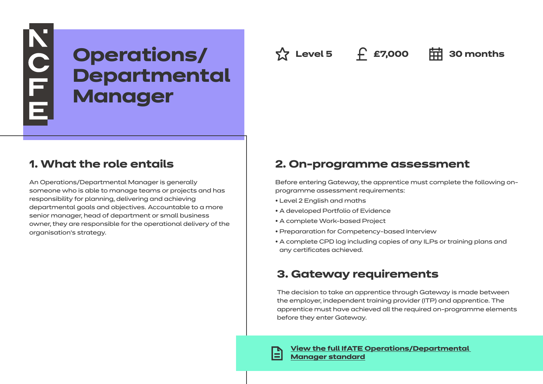# NOLL **Operations/ Level 5 £7,000 30 months Departmental Manager**

# **1. What the role entails**

An Operations/Departmental Manager is generally someone who is able to manage teams or projects and has responsibility for planning, delivering and achieving departmental goals and objectives. Accountable to a more senior manager, head of department or small business owner, they are responsible for the operational delivery of the organisation's strategy.

# **2. On-programme assessment**

Before entering Gateway, the apprentice must complete the following onprogramme assessment requirements:

- Level 2 English and maths
- A developed Portfolio of Evidence
- A complete Work-based Project
- Prepararation for Competency-based Interview
- A complete CPD log including copies of any ILPs or training plans and any certificates achieved.

# **3. Gateway requirements**

The decision to take an apprentice through Gateway is made between the employer, independent training provider (ITP) and apprentice. The apprentice must have achieved all the required on-programme elements before they enter Gateway.

**[View the full IfATE Operations/Departmental](https://www.instituteforapprenticeships.org/apprenticeship-standards/healthcare-assistant-practitioner/)  [Manager standard](https://www.instituteforapprenticeships.org/apprenticeship-standards/operations-departmental-manager/)**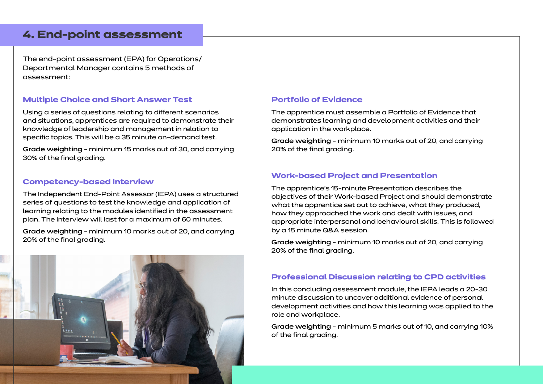### **4. End-point assessment**

The end-point assessment (EPA) for Operations/ Departmental Manager contains 5 methods of assessment:

### **Multiple Choice and Short Answer Test**

Using a series of questions relating to different scenarios and situations, apprentices are required to demonstrate their knowledge of leadership and management in relation to specific topics. This will be a 35 minute on-demand test.

Grade weighting - minimum 15 marks out of 30, and carrying 30% of the final grading.

### **Competency-based Interview**

The Independent End-Point Assessor (IEPA) uses a structured series of questions to test the knowledge and application of learning relating to the modules identified in the assessment plan. The Interview will last for a maximum of 60 minutes.

Grade weighting - minimum 10 marks out of 20, and carrying 20% of the final grading.

### **Portfolio of Evidence**

The apprentice must assemble a Portfolio of Evidence that demonstrates learning and development activities and their application in the workplace.

Grade weighting - minimum 10 marks out of 20, and carrying 20% of the final grading.

### **Work-based Project and Presentation**

The apprentice's 15-minute Presentation describes the objectives of their Work-based Project and should demonstrate what the apprentice set out to achieve, what they produced, how they approached the work and dealt with issues, and appropriate interpersonal and behavioural skills. This is followed by a 15 minute Q&A session.

Grade weighting - minimum 10 marks out of 20, and carrying 20% of the final grading.

### **Professional Discussion relating to CPD activities**

In this concluding assessment module, the IEPA leads a 20-30 minute discussion to uncover additional evidence of personal development activities and how this learning was applied to the role and workplace.

Grade weighting - minimum 5 marks out of 10, and carrying 10% of the final grading.